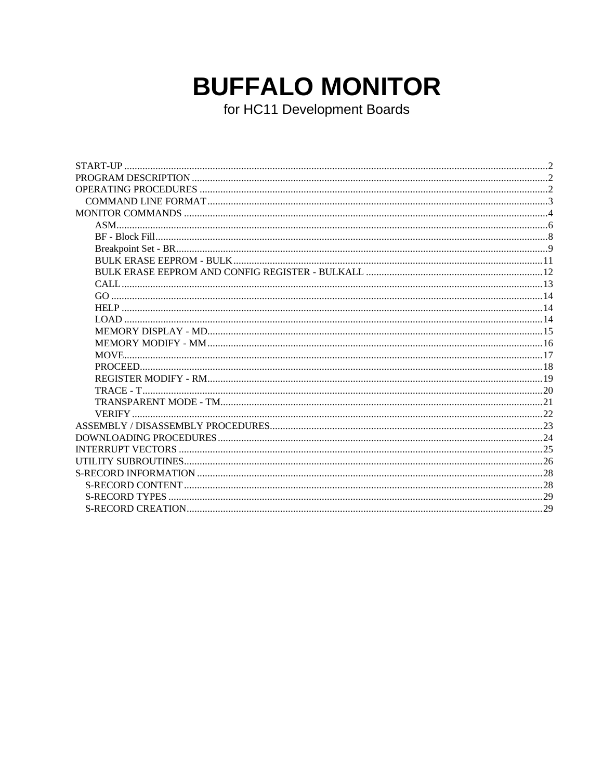# **BUFFALO MONITOR**

for HC11 Development Boards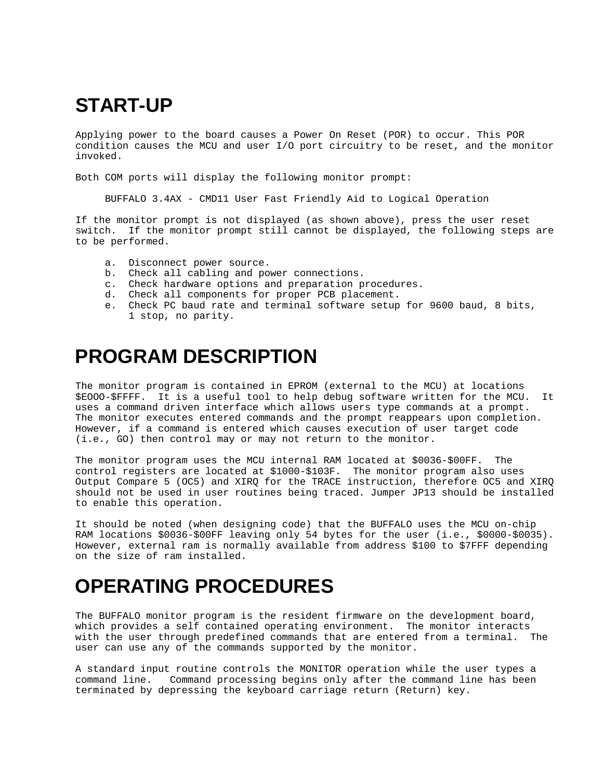# **START-UP**

Applying power to the board causes a Power On Reset (POR) to occur. This POR condition causes the MCU and user I/O port circuitry to be reset, and the monitor invoked.

Both COM ports will display the following monitor prompt:

BUFFALO 3.4AX - CMD11 User Fast Friendly Aid to Logical Operation

If the monitor prompt is not displayed (as shown above), press the user reset switch. If the monitor prompt still cannot be displayed, the following steps are to be performed.

- a. Disconnect power source.
- b. Check all cabling and power connections.
- c. Check hardware options and preparation procedures.
- d. Check all components for proper PCB placement.
- e. Check PC baud rate and terminal software setup for 9600 baud, 8 bits, 1 stop, no parity.

# **PROGRAM DESCRIPTION**

The monitor program is contained in EPROM (external to the MCU) at locations \$EOOO-\$FFFF. It is a useful tool to help debug software written for the MCU. It uses a command driven interface which allows users type commands at a prompt. The monitor executes entered commands and the prompt reappears upon completion. However, if a command is entered which causes execution of user target code (i.e., GO) then control may or may not return to the monitor.

The monitor program uses the MCU internal RAM located at \$0036-\$00FF. The control registers are located at \$1000-\$103F. The monitor program also uses Output Compare 5 (OC5) and XIRQ for the TRACE instruction, therefore OC5 and XIRQ should not be used in user routines being traced. Jumper JP13 should be installed to enable this operation.

It should be noted (when designing code) that the BUFFALO uses the MCU on-chip RAM locations \$0036-\$00FF leaving only 54 bytes for the user (i.e., \$0000-\$0035). However, external ram is normally available from address \$100 to \$7FFF depending on the size of ram installed.

# **OPERATING PROCEDURES**

The BUFFALO monitor program is the resident firmware on the development board, which provides a self contained operating environment. The monitor interacts with the user through predefined commands that are entered from a terminal. The user can use any of the commands supported by the monitor.

A standard input routine controls the MONITOR operation while the user types a command line. Command processing begins only after the command line has been terminated by depressing the keyboard carriage return (Return) key.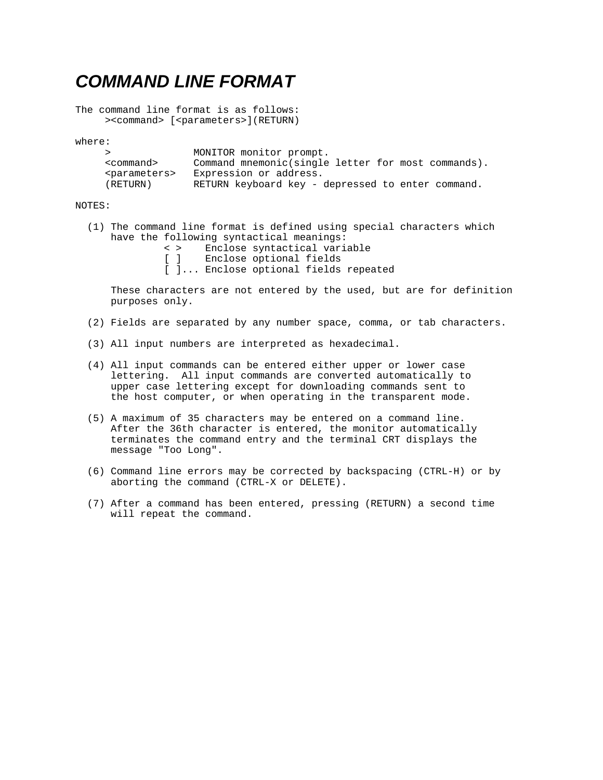### *COMMAND LINE FORMAT*

The command line format is as follows: ><command> [<parameters>](RETURN)

where:

|                           | MONITOR monitor prompt.                            |
|---------------------------|----------------------------------------------------|
| <command/>                | Command mnemonic(single letter for most commands). |
| <parameters></parameters> | Expression or address.                             |
| (RETURN)                  | RETURN keyboard key - depressed to enter command.  |

#### NOTES:

- (1) The command line format is defined using special characters which have the following syntactical meanings: < > Enclose syntactical variable<br>[ ] Enclose optional fields Enclose optional fields
	- [ ]... Enclose optional fields repeated

 These characters are not entered by the used, but are for definition purposes only.

- (2) Fields are separated by any number space, comma, or tab characters.
- (3) All input numbers are interpreted as hexadecimal.
- (4) All input commands can be entered either upper or lower case lettering. All input commands are converted automatically to upper case lettering except for downloading commands sent to the host computer, or when operating in the transparent mode.
- (5) A maximum of 35 characters may be entered on a command line. After the 36th character is entered, the monitor automatically terminates the command entry and the terminal CRT displays the message "Too Long".
- (6) Command line errors may be corrected by backspacing (CTRL-H) or by aborting the command (CTRL-X or DELETE).
- (7) After a command has been entered, pressing (RETURN) a second time will repeat the command.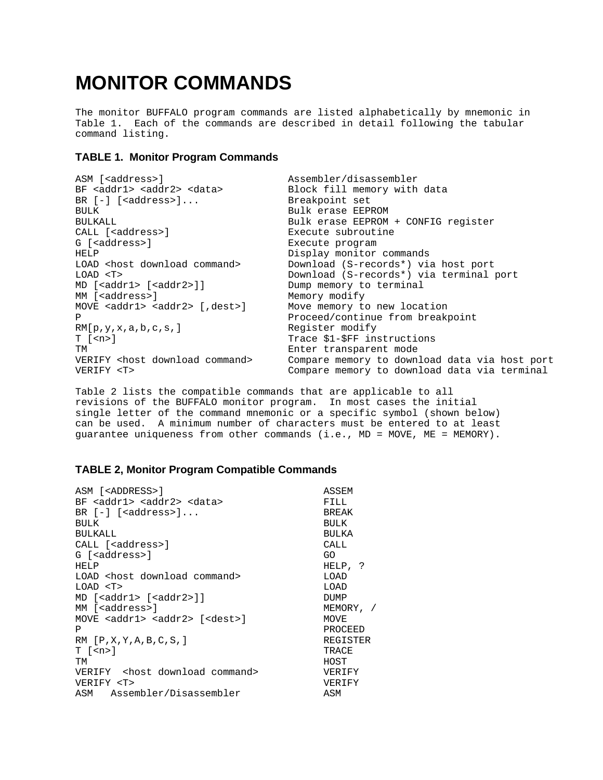# **MONITOR COMMANDS**

The monitor BUFFALO program commands are listed alphabetically by mnemonic in Table 1. Each of the commands are described in detail following the tabular command listing.

#### **TABLE 1. Monitor Program Commands**

| ASM [ <address>]</address>                  | Assembler/disassembler                        |  |  |  |  |  |
|---------------------------------------------|-----------------------------------------------|--|--|--|--|--|
| $BF addr1 > addr2 > data$                   | Block fill memory with data                   |  |  |  |  |  |
| BR $[-]$ [ <address>]</address>             | Breakpoint set                                |  |  |  |  |  |
| <b>BULK</b>                                 | Bulk erase EEPROM                             |  |  |  |  |  |
| <b>BULKALL</b>                              | Bulk erase EEPROM + CONFIG register           |  |  |  |  |  |
| CALL [ <address>]</address>                 | Execute subroutine                            |  |  |  |  |  |
| G [ <address>]</address>                    | Execute program                               |  |  |  |  |  |
| HELP                                        | Display monitor commands                      |  |  |  |  |  |
| LOAD <host command="" download=""></host>   | Download (S-records*) via host port           |  |  |  |  |  |
| LOAD < T                                    | Download (S-records*) via terminal port       |  |  |  |  |  |
| $MD$ [ <addr1> [<addr2>]]</addr2></addr1>   | Dump memory to terminal                       |  |  |  |  |  |
| MM [ <address>]</address>                   | Memory modify                                 |  |  |  |  |  |
| MOVE $\leq$ addr1> $\leq$ addr2> [, dest>]  | Move memory to new location                   |  |  |  |  |  |
| Ρ                                           | Proceed/continue from breakpoint              |  |  |  |  |  |
| RM[p,y,x,a,b,c,s.]                          | Register modify                               |  |  |  |  |  |
| $T$ [ $\langle n \rangle$ ]                 | Trace \$1-\$FF instructions                   |  |  |  |  |  |
| TМ                                          | Enter transparent mode                        |  |  |  |  |  |
| VERIFY <host command="" download=""></host> | Compare memory to download data via host port |  |  |  |  |  |
| VERIFY <t></t>                              | Compare memory to download data via terminal  |  |  |  |  |  |

Table 2 lists the compatible commands that are applicable to all revisions of the BUFFALO monitor program. In most cases the initial single letter of the command mnemonic or a specific symbol (shown below) can be used. A minimum number of characters must be entered to at least guarantee uniqueness from other commands (i.e., MD = MOVE, ME = MEMORY).

#### **TABLE 2, Monitor Program Compatible Commands**

| ASM [ <address>]</address>                           | ASSEM           |
|------------------------------------------------------|-----------------|
| BF <addr1> <addr2> <data></data></addr2></addr1>     | FILL            |
| BR $[-]$ [ <address>]</address>                      | <b>BREAK</b>    |
| <b>BULK</b>                                          | <b>BULK</b>     |
| <b>BULKALL</b>                                       | BULKA           |
| CALL [ <address>]</address>                          | CALL            |
| G [ <address>]</address>                             | GO.             |
| HELP                                                 | HELP, ?         |
| LOAD <host command="" download=""></host>            | LOAD            |
| LOAD < T                                             | LOAD            |
| MD [ <addr1> [<addr2>]]</addr2></addr1>              | DUMP            |
| MM [ <address>]</address>                            | MEMORY, /       |
| MOVE <addr1> <addr2> [<dest>]</dest></addr2></addr1> | MOVE            |
| P                                                    | PROCEED         |
| RM [P,X,Y,A,B,C,S.]                                  | <b>REGISTER</b> |
| T [ <n>]</n>                                         | TRACE           |
| TМ                                                   | HOST            |
| VERIFY <host command="" download=""></host>          | VERIFY          |
| VERIFY <t></t>                                       | VERIFY          |
| ASM Assembler/Disassembler                           | ASM             |
|                                                      |                 |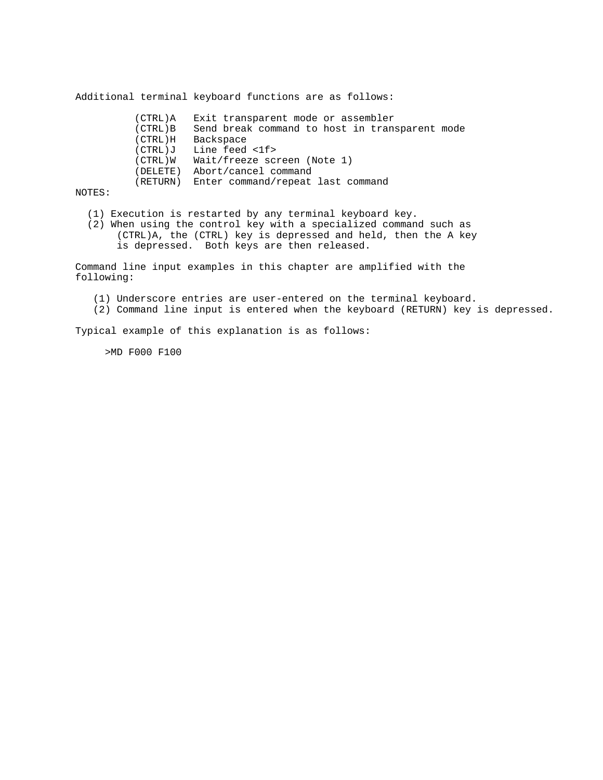Additional terminal keyboard functions are as follows:

 (CTRL)A Exit transparent mode or assembler (CTRL)B Send break command to host in transparent mode (CTRL)H Backspace (CTRL)J Line feed <1f> (CTRL)W Wait/freeze screen (Note 1) (DELETE) Abort/cancel command (RETURN) Enter command/repeat last command

NOTES:

- (1) Execution is restarted by any terminal keyboard key.
- (2) When using the control key with a specialized command such as (CTRL)A, the (CTRL) key is depressed and held, then the A key is depressed. Both keys are then released.

Command line input examples in this chapter are amplified with the following:

- (1) Underscore entries are user-entered on the terminal keyboard.
- (2) Command line input is entered when the keyboard (RETURN) key is depressed.

Typical example of this explanation is as follows:

>MD F000 F100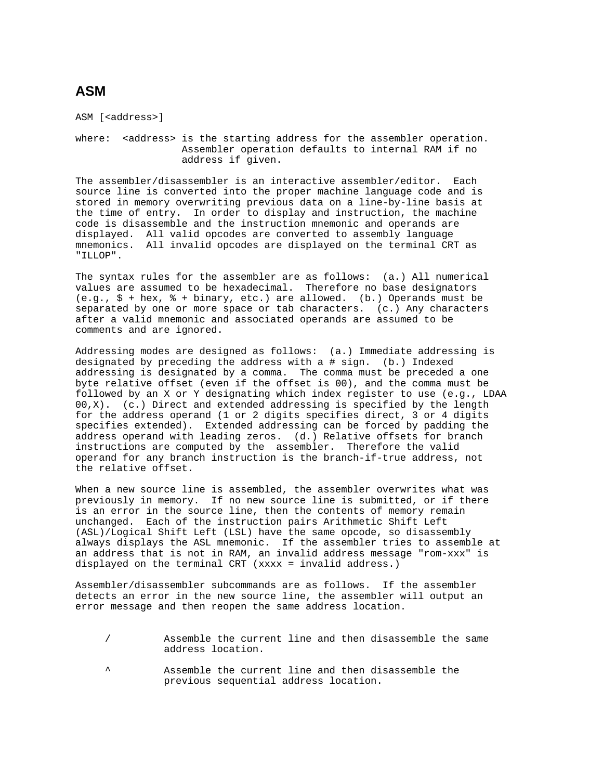### **ASM**

ASM [<address>]

where: <address> is the starting address for the assembler operation. Assembler operation defaults to internal RAM if no address if given.

The assembler/disassembler is an interactive assembler/editor. Each source line is converted into the proper machine language code and is stored in memory overwriting previous data on a line-by-line basis at the time of entry. In order to display and instruction, the machine code is disassemble and the instruction mnemonic and operands are displayed. All valid opcodes are converted to assembly language mnemonics. All invalid opcodes are displayed on the terminal CRT as "ILLOP".

The syntax rules for the assembler are as follows: (a.) All numerical values are assumed to be hexadecimal. Therefore no base designators (e.g., \$ + hex, % + binary, etc.) are allowed. (b.) Operands must be separated by one or more space or tab characters. (c.) Any characters after a valid mnemonic and associated operands are assumed to be comments and are ignored.

Addressing modes are designed as follows: (a.) Immediate addressing is designated by preceding the address with a # sign. (b.) Indexed addressing is designated by a comma. The comma must be preceded a one byte relative offset (even if the offset is 00), and the comma must be followed by an X or Y designating which index register to use (e.g., LDAA 00,X). (c.) Direct and extended addressing is specified by the length for the address operand (1 or 2 digits specifies direct, 3 or 4 digits specifies extended). Extended addressing can be forced by padding the address operand with leading zeros. (d.) Relative offsets for branch instructions are computed by the assembler. Therefore the valid operand for any branch instruction is the branch-if-true address, not the relative offset.

When a new source line is assembled, the assembler overwrites what was previously in memory. If no new source line is submitted, or if there is an error in the source line, then the contents of memory remain unchanged. Each of the instruction pairs Arithmetic Shift Left (ASL)/Logical Shift Left (LSL) have the same opcode, so disassembly always displays the ASL mnemonic. If the assembler tries to assemble at an address that is not in RAM, an invalid address message "rom-xxx" is displayed on the terminal CRT (xxxx = invalid address.)

Assembler/disassembler subcommands are as follows. If the assembler detects an error in the new source line, the assembler will output an error message and then reopen the same address location.

|                   |  |  | Assemble the current line and then disassemble the same |  |
|-------------------|--|--|---------------------------------------------------------|--|
| address location. |  |  |                                                         |  |

Assemble the current line and then disassemble the previous sequential address location.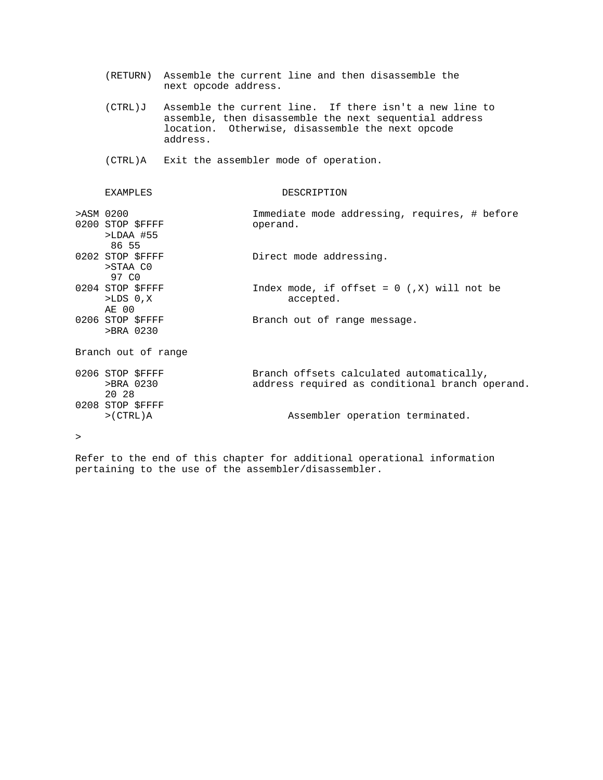|   |                                                       | next opcode address. | (RETURN) Assemble the current line and then disassemble the                                                                                                           |
|---|-------------------------------------------------------|----------------------|-----------------------------------------------------------------------------------------------------------------------------------------------------------------------|
|   | (CTRL)J                                               | address.             | Assemble the current line. If there isn't a new line to<br>assemble, then disassemble the next sequential address<br>location. Otherwise, disassemble the next opcode |
|   |                                                       |                      | (CTRL)A Exit the assembler mode of operation.                                                                                                                         |
|   | <b>EXAMPLES</b>                                       |                      | DESCRIPTION                                                                                                                                                           |
|   | >ASM 0200<br>0200 STOP \$FFFF<br>$>LDAA$ #55<br>86 55 |                      | Immediate mode addressing, requires, # before<br>operand.                                                                                                             |
|   | 0202 STOP \$FFFF<br>>STAA CO<br>97 CO                 |                      | Direct mode addressing.                                                                                                                                               |
|   | 0204 STOP \$FFFF<br>$>LDS$ 0, $X$<br>AE 00            |                      | Index mode, if offset = $0$ (, X) will not be<br>accepted.                                                                                                            |
|   | 0206 STOP \$FFFF<br>>BRA 0230                         |                      | Branch out of range message.                                                                                                                                          |
|   | Branch out of range                                   |                      |                                                                                                                                                                       |
|   | 0206 STOP \$FFFF<br>>BRA 0230<br>20 28                |                      | Branch offsets calculated automatically,<br>address required as conditional branch operand.                                                                           |
|   | 0208 STOP \$FFFF<br>>(CTRL)                           |                      | Assembler operation terminated.                                                                                                                                       |
| > |                                                       |                      |                                                                                                                                                                       |

Refer to the end of this chapter for additional operational information pertaining to the use of the assembler/disassembler.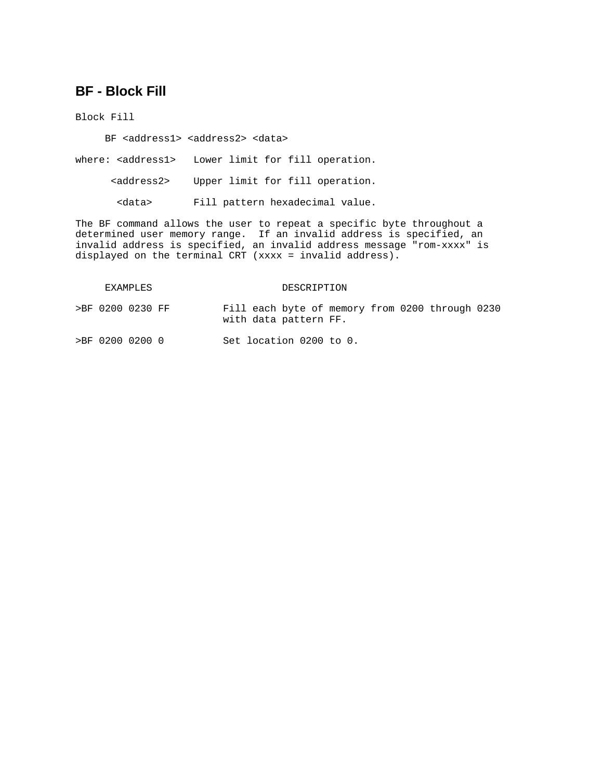### **BF - Block Fill**

Block Fill

BF <address1> <address2> <data>

where: <address1> Lower limit for fill operation.

<address2> Upper limit for fill operation.

<data> Fill pattern hexadecimal value.

The BF command allows the user to repeat a specific byte throughout a determined user memory range. If an invalid address is specified, an invalid address is specified, an invalid address message "rom-xxxx" is displayed on the terminal CRT (xxxx = invalid address).

| EXAMPLES |                  |  |  | DESCRIPTION |                         |  |  |  |                                                 |  |  |
|----------|------------------|--|--|-------------|-------------------------|--|--|--|-------------------------------------------------|--|--|
|          | >BF 0200 0230 FF |  |  |             | with data pattern FF.   |  |  |  | Fill each byte of memory from 0200 through 0230 |  |  |
|          | >BF 0200 0200 0  |  |  |             | Set location 0200 to 0. |  |  |  |                                                 |  |  |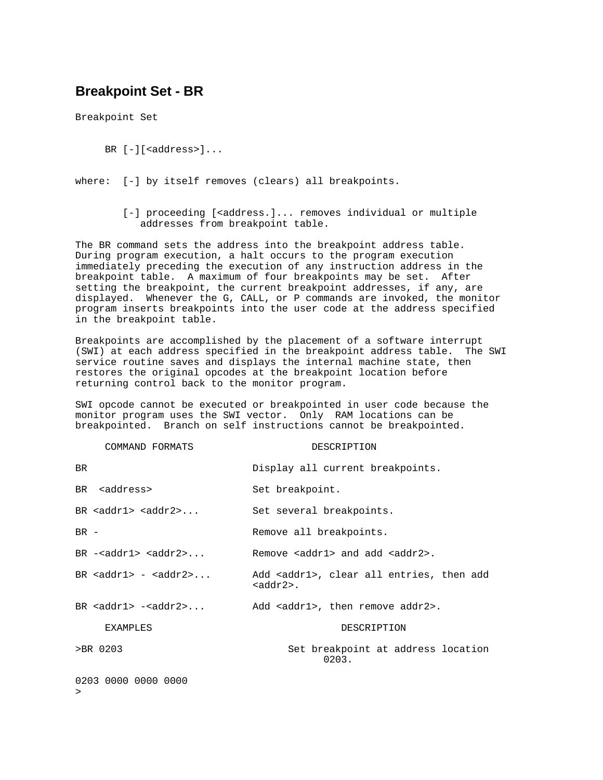### **Breakpoint Set - BR**

Breakpoint Set

- BR  $[-]$ [<address>]...
- where: [-] by itself removes (clears) all breakpoints.
	- [-] proceeding [<address.]... removes individual or multiple addresses from breakpoint table.

The BR command sets the address into the breakpoint address table. During program execution, a halt occurs to the program execution immediately preceding the execution of any instruction address in the breakpoint table. A maximum of four breakpoints may be set. After setting the breakpoint, the current breakpoint addresses, if any, are displayed. Whenever the G, CALL, or P commands are invoked, the monitor program inserts breakpoints into the user code at the address specified in the breakpoint table.

Breakpoints are accomplished by the placement of a software interrupt (SWI) at each address specified in the breakpoint address table. The SWI service routine saves and displays the internal machine state, then restores the original opcodes at the breakpoint location before returning control back to the monitor program.

SWI opcode cannot be executed or breakpointed in user code because the monitor program uses the SWI vector. Only RAM locations can be breakpointed. Branch on self instructions cannot be breakpointed.

| COMMAND FORMATS                | DESCRIPTION                                                           |
|--------------------------------|-----------------------------------------------------------------------|
| <b>BR</b>                      | Display all current breakpoints.                                      |
| BR saddress>                   | Set breakpoint.                                                       |
| BR $<$ addr $1>$ $<$ addr $2>$ | Set several breakpoints.                                              |
| $BR -$                         | Remove all breakpoints.                                               |
| $BR - addr1> < addr2>$         | Remove $\alpha$ ddr $1$ > and add $\alpha$ ddr $2$ >.                 |
| BR $<$ addr $1> - <$ addr $2>$ | Add <addr1>, clear all entries, then add<br/><addr2>.</addr2></addr1> |
| BR $<$ addr $1>  <$ addr $2>$  | Add <addr1>, then remove addr2&gt;.</addr1>                           |
| <b>EXAMPLES</b>                | DESCRIPTION                                                           |
| >BR 0203                       | Set breakpoint at address location<br>0203.                           |
| 0203 0000 0000 0000<br>$\geq$  |                                                                       |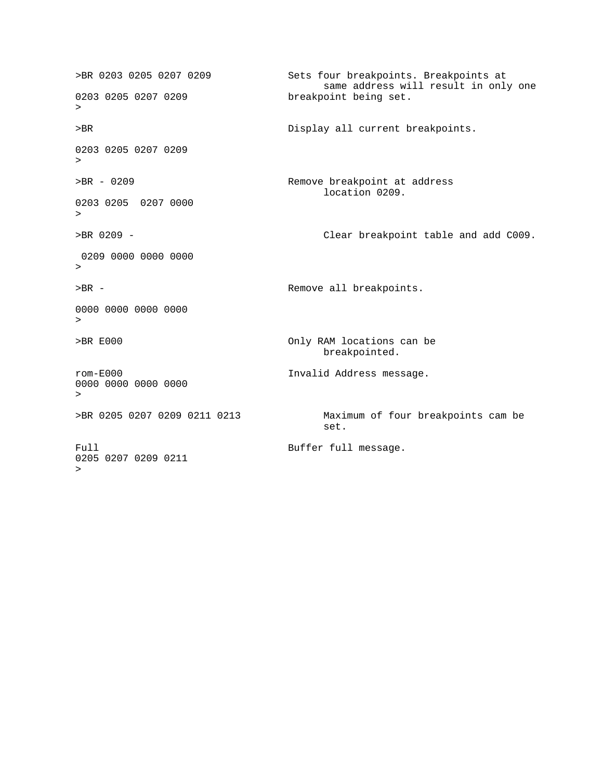>BR 0203 0205 0207 0209 Sets four breakpoints. Breakpoints at same address will result in only one<br>0203 0205 0207 0209 breakpoint being set. breakpoint being set. > >BR Display all current breakpoints. 0203 0205 0207 0209 > >BR - 0209 Remove breakpoint at address location 0209. 0203 0205 0207 0000  $\geq$ >BR 0209 - Clear breakpoint table and add C009. 0209 0000 0000 0000  $\geq$ >BR -  $\longrightarrow$  Remove all breakpoints. 0000 0000 0000 0000 > >BR E000 Only RAM locations can be breakpointed. rom-E000 Invalid Address message. 0000 0000 0000 0000 > >BR 0205 0207 0209 0211 0213 Maximum of four breakpoints cam be set. Full Full message. 0205 0207 0209 0211 >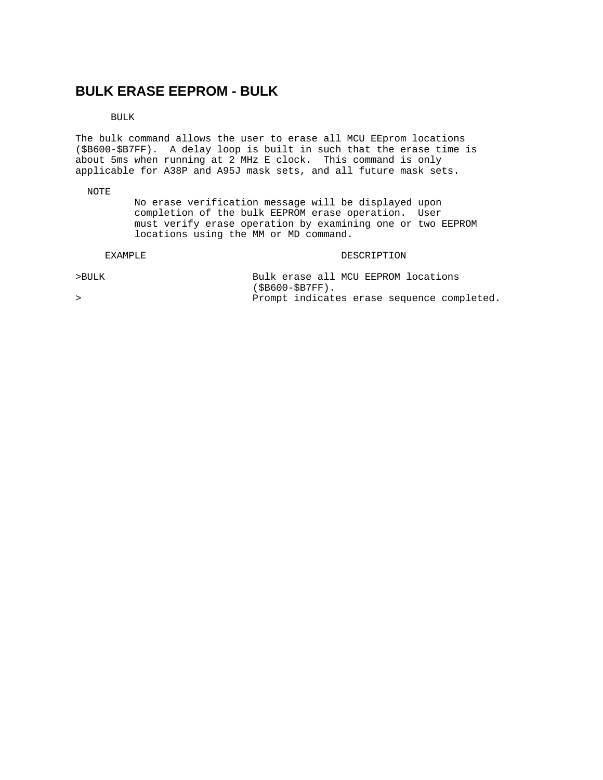### **BULK ERASE EEPROM - BULK**

BULK

The bulk command allows the user to erase all MCU EEprom locations (\$B600-\$B7FF). A delay loop is built in such that the erase time is about 5ms when running at 2 MHz E clock. This command is only applicable for A38P and A95J mask sets, and all future mask sets.

NOTE

 No erase verification message will be displayed upon completion of the bulk EEPROM erase operation. User must verify erase operation by examining one or two EEPROM locations using the MM or MD command.

#### EXAMPLE DESCRIPTION

| >BULK |                   |  |  | Bulk erase all MCU EEPROM locations |                                            |
|-------|-------------------|--|--|-------------------------------------|--------------------------------------------|
|       | $(SB600-SB7FF)$ . |  |  |                                     |                                            |
|       |                   |  |  |                                     | Prompt indicates erase sequence completed. |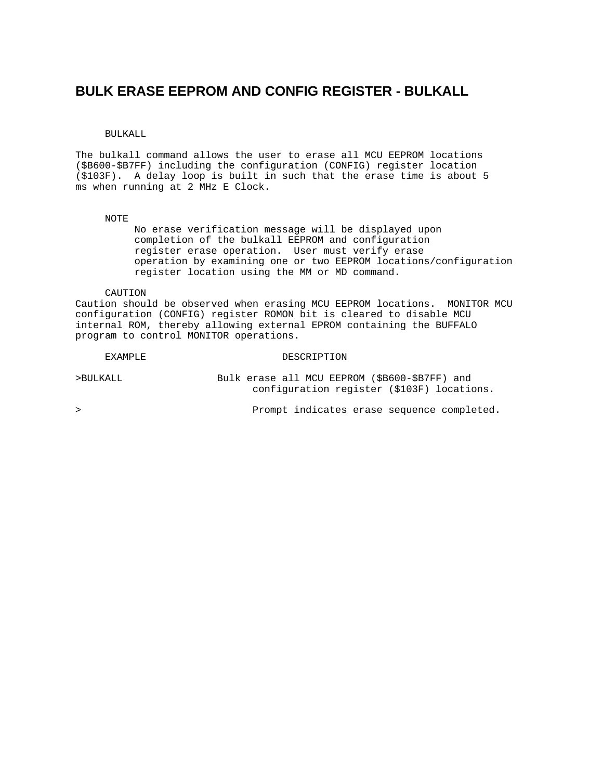### **BULK ERASE EEPROM AND CONFIG REGISTER - BULKALL**

#### BULKALL

The bulkall command allows the user to erase all MCU EEPROM locations (\$B600-\$B7FF) including the configuration (CONFIG) register location (\$103F). A delay loop is built in such that the erase time is about 5 ms when running at 2 MHz E Clock.

#### NOTE

 No erase verification message will be displayed upon completion of the bulkall EEPROM and configuration register erase operation. User must verify erase operation by examining one or two EEPROM locations/configuration register location using the MM or MD command.

CAUTION

Caution should be observed when erasing MCU EEPROM locations. MONITOR MCU configuration (CONFIG) register ROMON bit is cleared to disable MCU internal ROM, thereby allowing external EPROM containing the BUFFALO program to control MONITOR operations.

#### EXAMPLE DESCRIPTION

>BULKALL Bulk erase all MCU EEPROM (\$B600-\$B7FF) and configuration register (\$103F) locations.

> Prompt indicates erase sequence completed.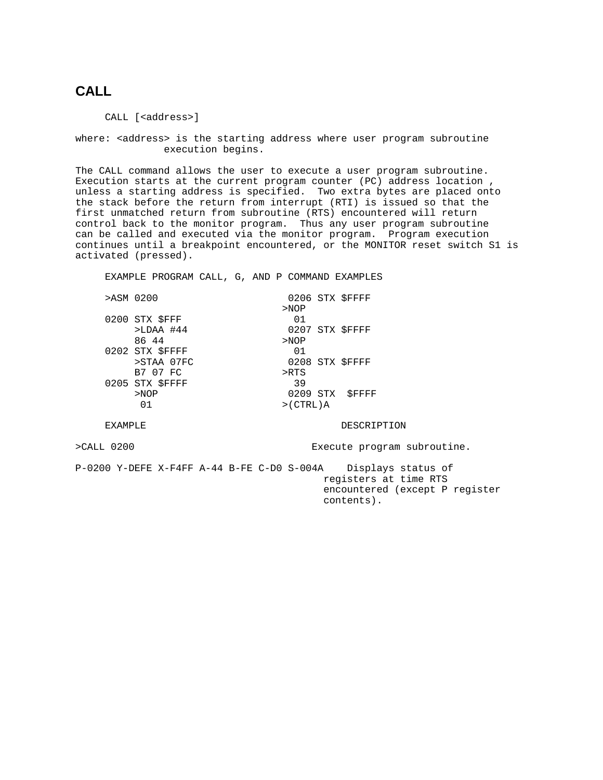### **CALL**

CALL [<address>]

where: <address> is the starting address where user program subroutine execution begins.

The CALL command allows the user to execute a user program subroutine. Execution starts at the current program counter (PC) address location , unless a starting address is specified. Two extra bytes are placed onto the stack before the return from interrupt (RTI) is issued so that the first unmatched return from subroutine (RTS) encountered will return control back to the monitor program. Thus any user program subroutine can be called and executed via the monitor program. Program execution continues until a breakpoint encountered, or the MONITOR reset switch S1 is activated (pressed).

EXAMPLE PROGRAM CALL, G, AND P COMMAND EXAMPLES

| >ASM 0200       |         | 0206 STX SFFFF |
|-----------------|---------|----------------|
|                 | >NOP    |                |
| 0200 STX SFFF   | 01      |                |
| $>LDAA$ #44     |         | 0207 STX SFFFF |
| 86 44           | >NOP    |                |
| 0202 STX \$FFFF | 01      |                |
| >STAA 07FC      |         | 0208 STX SFFFF |
| B7 07 FC        | $>$ RTS |                |
| 0205 STX \$FFFF | 39      |                |
| >NOP            |         | 0209 STX SFFFF |
| 01              | >(CTRL) |                |
|                 |         |                |

EXAMPLE DESCRIPTION

>CALL 0200 Execute program subroutine.

P-0200 Y-DEFE X-F4FF A-44 B-FE C-D0 S-004A Displays status of registers at time RTS encountered (except P register contents).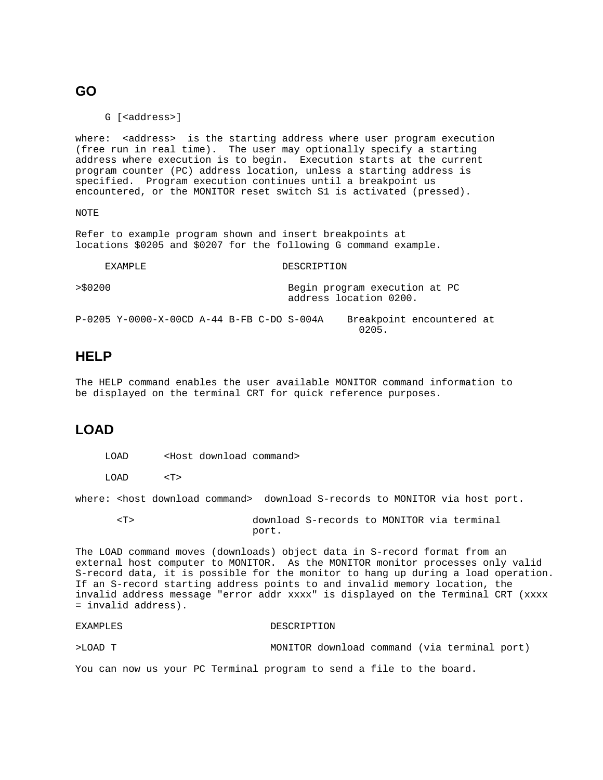#### **GO**

G [<address>]

where: <address> is the starting address where user program execution (free run in real time). The user may optionally specify a starting address where execution is to begin. Execution starts at the current program counter (PC) address location, unless a starting address is specified. Program execution continues until a breakpoint us encountered, or the MONITOR reset switch S1 is activated (pressed).

NOTE

Refer to example program shown and insert breakpoints at locations \$0205 and \$0207 for the following G command example.

 $0205$ .

|         | FXAMPLF.                                   |  |  | DESCRIPTION                                             |                           |  |  |  |  |  |
|---------|--------------------------------------------|--|--|---------------------------------------------------------|---------------------------|--|--|--|--|--|
| >\$0200 |                                            |  |  | Begin program execution at PC<br>address location 0200. |                           |  |  |  |  |  |
|         | P-0205 Y-0000-X-00CD A-44 B-FB C-DO S-004A |  |  |                                                         | Breakpoint encountered at |  |  |  |  |  |

### **HELP**

The HELP command enables the user available MONITOR command information to be displayed on the terminal CRT for quick reference purposes.

### **LOAD**

LOAD <T>

where: < host download command> download S-records to MONITOR via host port.

 <T> download S-records to MONITOR via terminal port.

The LOAD command moves (downloads) object data in S-record format from an external host computer to MONITOR. As the MONITOR monitor processes only valid S-record data, it is possible for the monitor to hang up during a load operation. If an S-record starting address points to and invalid memory location, the invalid address message "error addr xxxx" is displayed on the Terminal CRT (xxxx = invalid address).

```
EXAMPLES DESCRIPTION
```
>LOAD T MONITOR download command (via terminal port)

You can now us your PC Terminal program to send a file to the board.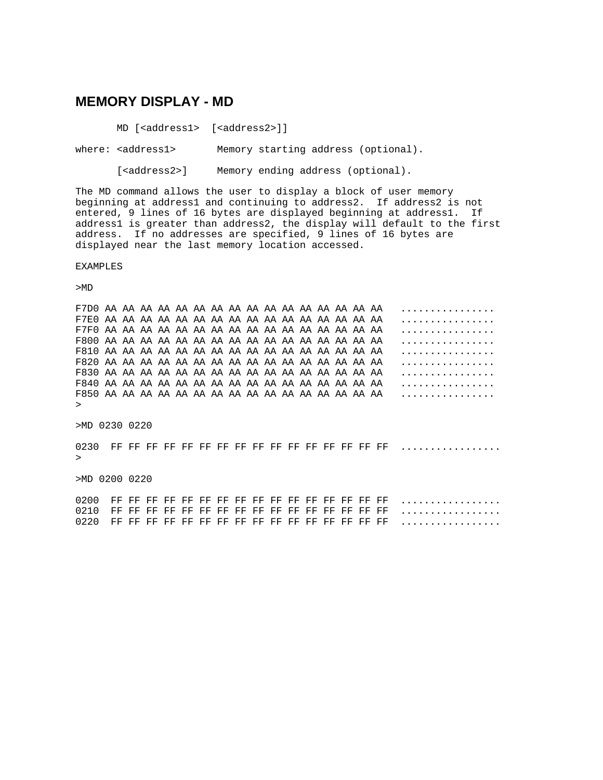#### **MEMORY DISPLAY - MD**

MD [<address1> [<address2>]]

where: <address1> Memory starting address (optional).

[<address2>] Memory ending address (optional).

The MD command allows the user to display a block of user memory beginning at address1 and continuing to address2. If address2 is not entered, 9 lines of 16 bytes are displayed beginning at address1. If address1 is greater than address2, the display will default to the first address. If no addresses are specified, 9 lines of 16 bytes are displayed near the last memory location accessed.

EXAMPLES

>MD

F7D0 AA AA AA AA AA AA AA AA AA AA AA AA AA AA AA AA ................ F7E0 AA AA AA AA AA AA AA AA AA AA AA AA AA AA AA AA ................ F7F0 AA AA AA AA AA AA AA AA AA AA AA AA AA AA AA AA ................ F800 AA AA AA AA AA AA AA AA AA AA AA AA AA AA AA AA ................ F810 AA AA AA AA AA AA AA AA AA AA AA AA AA AA AA AA ................ F820 AA AA AA AA AA AA AA AA AA AA AA AA AA AA AA AA ................ F830 AA AA AA AA AA AA AA AA AA AA AA AA AA AA AA AA ................ F840 AA AA AA AA AA AA AA AA AA AA AA AA AA AA AA AA ................ F850 AA AA AA AA AA AA AA AA AA AA AA AA AA AA AA AA ................ >

>MD 0230 0220

0230 FF FF FF FF FF FF FF FF FF FF FF FF FF FF FF FF ................. >

>MD 0200 0220

0200 FF FF FF FF FF FF FF FF FF FF FF FF FF FF FF FF ................. 0210 FF FF FF FF FF FF FF FF FF FF FF FF FF FF FF FF ................. 0220 FF FF FF FF FF FF FF FF FF FF FF FF FF FF FF FF .................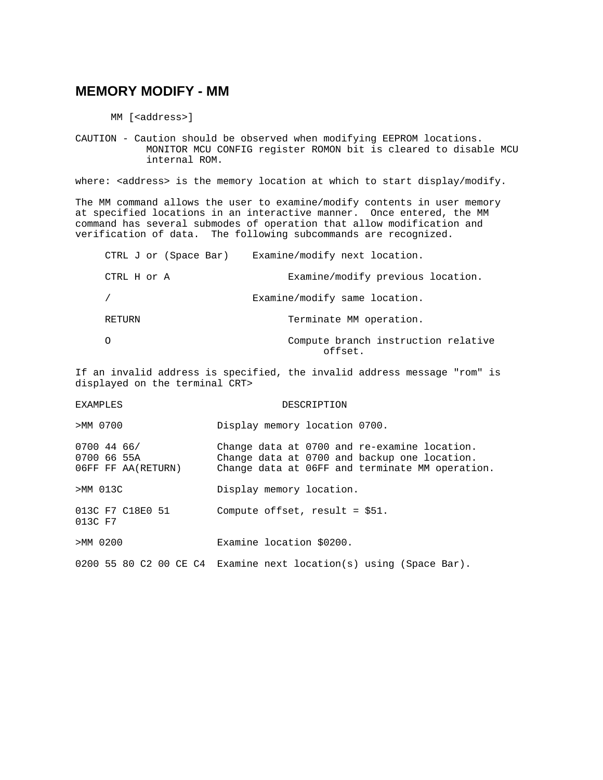#### **MEMORY MODIFY - MM**

MM [<address>]

CAUTION - Caution should be observed when modifying EEPROM locations. MONITOR MCU CONFIG register ROMON bit is cleared to disable MCU internal ROM.

where: <address> is the memory location at which to start display/modify.

The MM command allows the user to examine/modify contents in user memory at specified locations in an interactive manner. Once entered, the MM command has several submodes of operation that allow modification and verification of data. The following subcommands are recognized.

| CTRL J or (Space Bar) | Examine/modify next location.                  |
|-----------------------|------------------------------------------------|
| CTRL H or A           | Examine/modify previous location.              |
|                       | Examine/modify same location.                  |
| RETURN                | Terminate MM operation.                        |
|                       | Compute branch instruction relative<br>offset. |

If an invalid address is specified, the invalid address message "rom" is displayed on the terminal CRT>

EXAMPLES DESCRIPTION >MM 0700 Display memory location 0700. 0700 44 66/ Change data at 0700 and re-examine location. 0700 66 55A Change data at 0700 and backup one location.<br>06FF FF AA(RETURN) Change data at 06FF and terminate MM operation. Change data at 06FF and terminate MM operation. >MM 013C Display memory location. 013C F7 C18E0 51 Compute offset, result = \$51. 013C F7 >MM 0200 Examine location \$0200. 0200 55 80 C2 00 CE C4 Examine next location(s) using (Space Bar).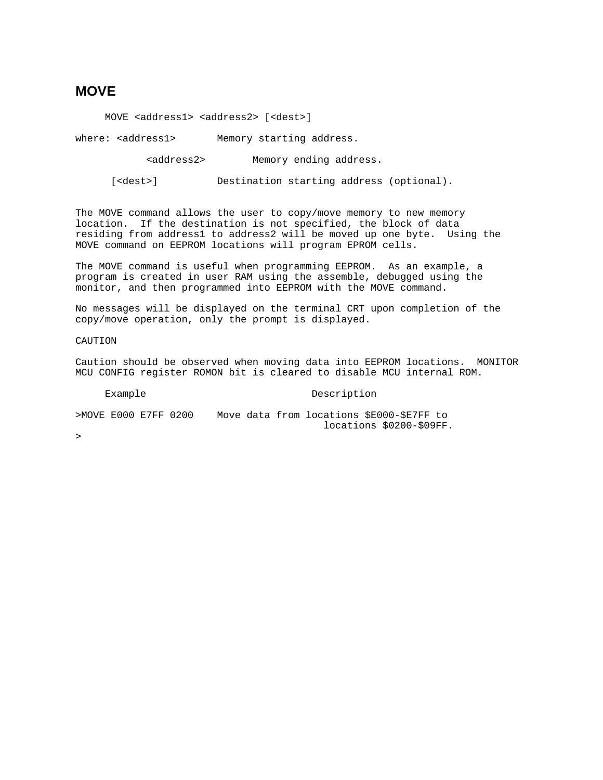### **MOVE**

MOVE <address1> <address2> [<dest>]

where: <address1> Memory starting address.

<address2> Memory ending address.

[<dest>] Destination starting address (optional).

The MOVE command allows the user to copy/move memory to new memory location. If the destination is not specified, the block of data residing from address1 to address2 will be moved up one byte. Using the MOVE command on EEPROM locations will program EPROM cells.

The MOVE command is useful when programming EEPROM. As an example, a program is created in user RAM using the assemble, debugged using the monitor, and then programmed into EEPROM with the MOVE command.

No messages will be displayed on the terminal CRT upon completion of the copy/move operation, only the prompt is displayed.

CAUTION

Caution should be observed when moving data into EEPROM locations. MONITOR MCU CONFIG register ROMON bit is cleared to disable MCU internal ROM.

#### Example Description

| >MOVE E000 E7FF 0200 |  |  |  | Move data from locations \$E000-\$E7FF to |                          |  |
|----------------------|--|--|--|-------------------------------------------|--------------------------|--|
|                      |  |  |  |                                           | locations \$0200-\$09FF. |  |
|                      |  |  |  |                                           |                          |  |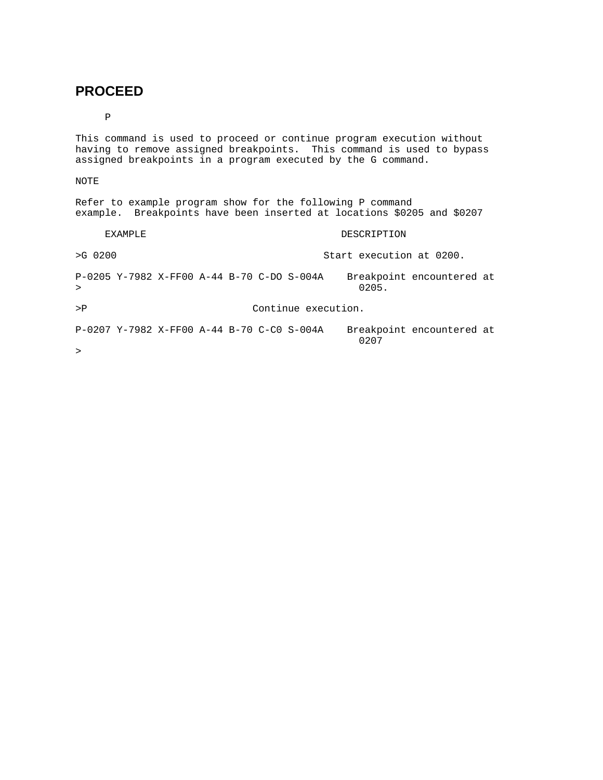### **PROCEED**

P

This command is used to proceed or continue program execution without having to remove assigned breakpoints. This command is used to bypass assigned breakpoints in a program executed by the G command.

#### NOTE

|                                                        | Refer to example program show for the following P command<br>example. Breakpoints have been inserted at locations \$0205 and \$0207 |  |  |  |  |  |  |  |  |
|--------------------------------------------------------|-------------------------------------------------------------------------------------------------------------------------------------|--|--|--|--|--|--|--|--|
| <b>EXAMPLE</b>                                         | DESCRIPTION                                                                                                                         |  |  |  |  |  |  |  |  |
| $>G$ 0200                                              | Start execution at 0200.                                                                                                            |  |  |  |  |  |  |  |  |
| P-0205 Y-7982 X-FF00 A-44 B-70 C-DO S-004A<br>$\geq$   | Breakpoint encountered at<br>0205.                                                                                                  |  |  |  |  |  |  |  |  |
| $>$ $P$                                                | Continue execution.                                                                                                                 |  |  |  |  |  |  |  |  |
| $P-0207$ Y-7982 X-FF00 A-44 B-70 C-C0 S-004A<br>$\geq$ | Breakpoint encountered at<br>0207                                                                                                   |  |  |  |  |  |  |  |  |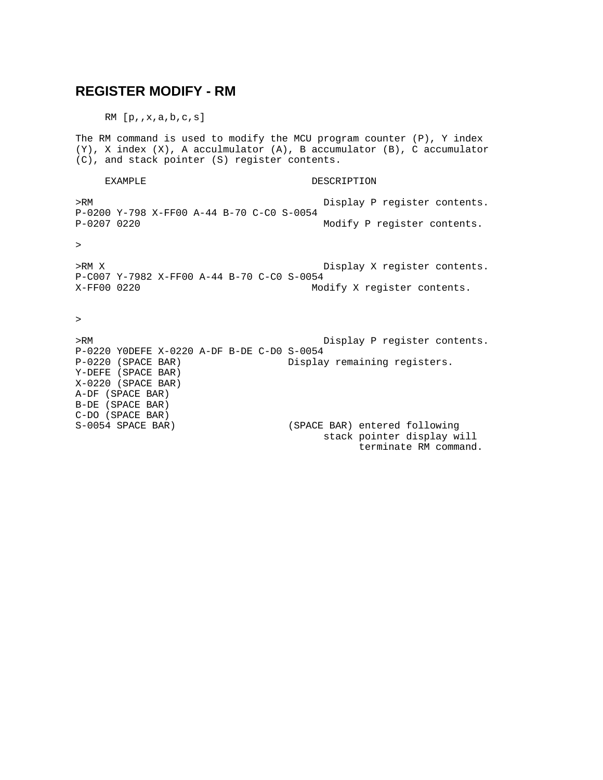#### **REGISTER MODIFY - RM**

 $RM$   $[p, x, a, b, c, s]$ 

The RM command is used to modify the MCU program counter (P), Y index (Y), X index (X), A acculmulator (A), B accumulator (B), C accumulator (C), and stack pointer (S) register contents.

EXAMPLE DESCRIPTION >RM Display P register contents. P-0200 Y-798 X-FF00 A-44 B-70 C-C0 S-0054 P-0207 0220 Modify P register contents.

>

>RM X Display X register contents. P-C007 Y-7982 X-FF00 A-44 B-70 C-C0 S-0054 X-FF00 0220 Modify X register contents.

>

>RM Display P register contents. P-0220 Y0DEFE X-0220 A-DF B-DE C-D0 S-0054 Display remaining registers. Y-DEFE (SPACE BAR) X-0220 (SPACE BAR) A-DF (SPACE BAR) B-DE (SPACE BAR) C-DO (SPACE BAR) S-0054 SPACE BAR) (SPACE BAR) entered following stack pointer display will terminate RM command.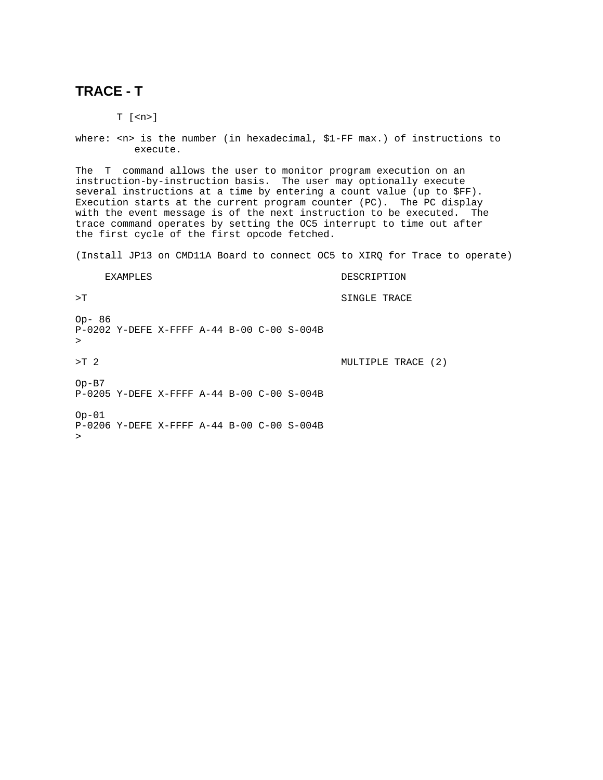### **TRACE - T**

T [<n>]

where: <n> is the number (in hexadecimal, \$1-FF max.) of instructions to execute.

The T command allows the user to monitor program execution on an instruction-by-instruction basis. The user may optionally execute several instructions at a time by entering a count value (up to \$FF). Execution starts at the current program counter (PC). The PC display with the event message is of the next instruction to be executed. The trace command operates by setting the OC5 interrupt to time out after the first cycle of the first opcode fetched.

(Install JP13 on CMD11A Board to connect OC5 to XIRQ for Trace to operate)

| <b>EXAMPLES</b>                                                   | DESCRIPTION        |
|-------------------------------------------------------------------|--------------------|
| $\mathcal{F}$                                                     | SINGLE TRACE       |
| $Op - 86$<br>P-0202 Y-DEFE X-FFFF A-44 B-00 C-00 S-004B<br>$\geq$ |                    |
| $>$ T $\overline{2}$                                              | MULTIPLE TRACE (2) |
| $Op-B7$<br>P-0205 Y-DEFE X-FFFF A-44 B-00 C-00 S-004B             |                    |
| $Op-01$<br>$P-0206$ Y-DEFE X-FFFF A-44 B-00 C-00 S-004B<br>$\geq$ |                    |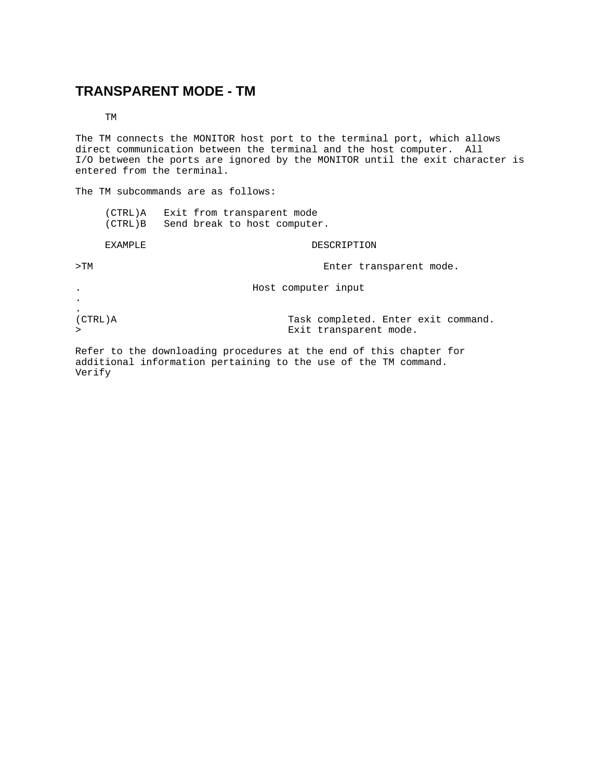### **TRANSPARENT MODE - TM**

TM

The TM connects the MONITOR host port to the terminal port, which allows direct communication between the terminal and the host computer. All I/O between the ports are ignored by the MONITOR until the exit character is entered from the terminal.

The TM subcommands are as follows:

| $(CTRL)$ A |  |  | Exit from transparent mode   |
|------------|--|--|------------------------------|
| (CTRL)B    |  |  | Send break to host computer. |

#### EXAMPLE DESCRIPTION

>TM Enter transparent mode.

. Host computer input

. (CTRL)A Task completed. Enter exit command. > exit transparent mode.

.

Refer to the downloading procedures at the end of this chapter for additional information pertaining to the use of the TM command. Verify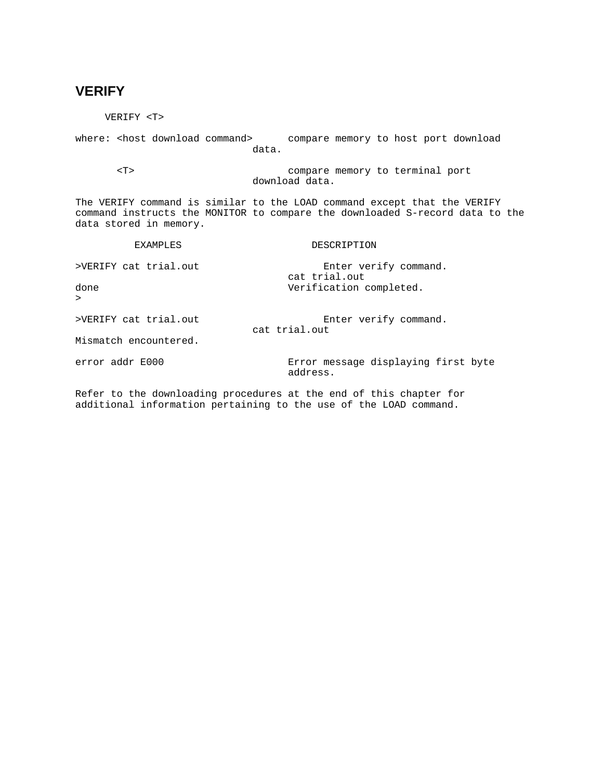### **VERIFY**

 VERIFY <T> where: < host download command> compare memory to host port download data. <T> compare memory to terminal port download data. The VERIFY command is similar to the LOAD command except that the VERIFY command instructs the MONITOR to compare the downloaded S-record data to the data stored in memory. EXAMPLES DESCRIPTION >VERIFY cat trial.out Enter verify command. cat trial.out done Verification completed. > >VERIFY cat trial.out Enter verify command. cat trial.out Mismatch encountered. error addr E000 **EXALL** Extror message displaying first byte address. Refer to the downloading procedures at the end of this chapter for

additional information pertaining to the use of the LOAD command.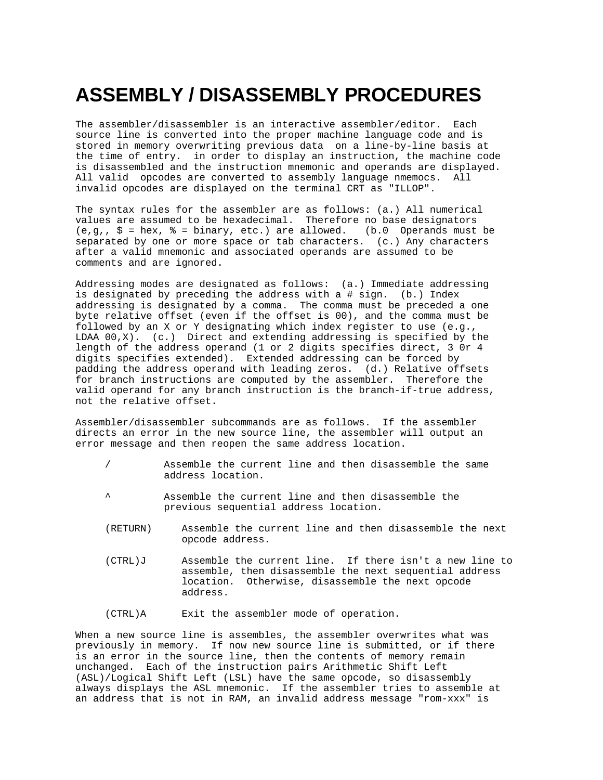# **ASSEMBLY / DISASSEMBLY PROCEDURES**

The assembler/disassembler is an interactive assembler/editor. Each source line is converted into the proper machine language code and is stored in memory overwriting previous data on a line-by-line basis at the time of entry. in order to display an instruction, the machine code is disassembled and the instruction mnemonic and operands are displayed. All valid opcodes are converted to assembly language nmemocs. All invalid opcodes are displayed on the terminal CRT as "ILLOP".

The syntax rules for the assembler are as follows: (a.) All numerical values are assumed to be hexadecimal. Therefore no base designators  $(e,q, \xi = \text{hex}, \xi = \text{binary}, \text{etc.})$  are allowed. (b.0 Operands must be separated by one or more space or tab characters. (c.) Any characters after a valid mnemonic and associated operands are assumed to be comments and are ignored.

Addressing modes are designated as follows: (a.) Immediate addressing is designated by preceding the address with a # sign. (b.) Index addressing is designated by a comma. The comma must be preceded a one byte relative offset (even if the offset is 00), and the comma must be followed by an X or Y designating which index register to use (e.g., LDAA  $00,X$ ). (c.) Direct and extending addressing is specified by the length of the address operand (1 or 2 digits specifies direct, 3 0r 4 digits specifies extended). Extended addressing can be forced by padding the address operand with leading zeros. (d.) Relative offsets for branch instructions are computed by the assembler. Therefore the valid operand for any branch instruction is the branch-if-true address, not the relative offset.

Assembler/disassembler subcommands are as follows. If the assembler directs an error in the new source line, the assembler will output an error message and then reopen the same address location.

- / Assemble the current line and then disassemble the same address location.
- ^ Assemble the current line and then disassemble the previous sequential address location.
- (RETURN) Assemble the current line and then disassemble the next opcode address.
- (CTRL)J Assemble the current line. If there isn't a new line to assemble, then disassemble the next sequential address location. Otherwise, disassemble the next opcode address.

(CTRL)A Exit the assembler mode of operation.

When a new source line is assembles, the assembler overwrites what was previously in memory. If now new source line is submitted, or if there is an error in the source line, then the contents of memory remain unchanged. Each of the instruction pairs Arithmetic Shift Left (ASL)/Logical Shift Left (LSL) have the same opcode, so disassembly always displays the ASL mnemonic. If the assembler tries to assemble at an address that is not in RAM, an invalid address message "rom-xxx" is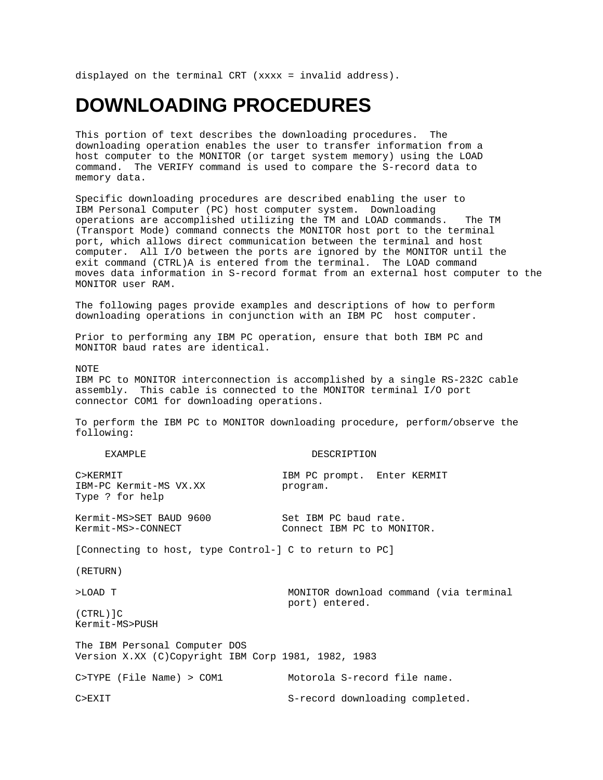displayed on the terminal CRT (xxxx = invalid address).

# **DOWNLOADING PROCEDURES**

This portion of text describes the downloading procedures. The downloading operation enables the user to transfer information from a host computer to the MONITOR (or target system memory) using the LOAD command. The VERIFY command is used to compare the S-record data to memory data.

Specific downloading procedures are described enabling the user to IBM Personal Computer (PC) host computer system. Downloading operations are accomplished utilizing the TM and LOAD commands. The TM (Transport Mode) command connects the MONITOR host port to the terminal port, which allows direct communication between the terminal and host computer. All I/O between the ports are ignored by the MONITOR until the exit command (CTRL)A is entered from the terminal. The LOAD command moves data information in S-record format from an external host computer to the MONITOR user RAM.

The following pages provide examples and descriptions of how to perform downloading operations in conjunction with an IBM PC host computer.

Prior to performing any IBM PC operation, ensure that both IBM PC and MONITOR baud rates are identical.

NOTE

IBM PC to MONITOR interconnection is accomplished by a single RS-232C cable assembly. This cable is connected to the MONITOR terminal I/O port connector COM1 for downloading operations.

To perform the IBM PC to MONITOR downloading procedure, perform/observe the following:

| <b>EXAMPLE</b>                                                                       | DESCRIPTION                                         |  |  |  |  |  |  |  |
|--------------------------------------------------------------------------------------|-----------------------------------------------------|--|--|--|--|--|--|--|
| C>KERMIT<br>IBM-PC Kermit-MS VX.XX<br>Type ? for help                                | IBM PC prompt. Enter KERMIT<br>program.             |  |  |  |  |  |  |  |
| Kermit-MS>SET BAUD 9600<br>Kermit-MS>-CONNECT                                        | Set IBM PC baud rate.<br>Connect IBM PC to MONITOR. |  |  |  |  |  |  |  |
| [Connecting to host, type Control-] C to return to PC]                               |                                                     |  |  |  |  |  |  |  |
| (RETURN)                                                                             |                                                     |  |  |  |  |  |  |  |
| >LOAD T                                                                              | MONITOR download command (via terminal              |  |  |  |  |  |  |  |
| $(CTRL)$ ] $C$<br>Kermit-MS>PUSH                                                     | port) entered.                                      |  |  |  |  |  |  |  |
| The IBM Personal Computer DOS<br>Version X.XX (C)Copyright IBM Corp 1981, 1982, 1983 |                                                     |  |  |  |  |  |  |  |
| C>TYPE (File Name) > COM1                                                            | Motorola S-record file name.                        |  |  |  |  |  |  |  |
| C>EXIT                                                                               | S-record downloading completed.                     |  |  |  |  |  |  |  |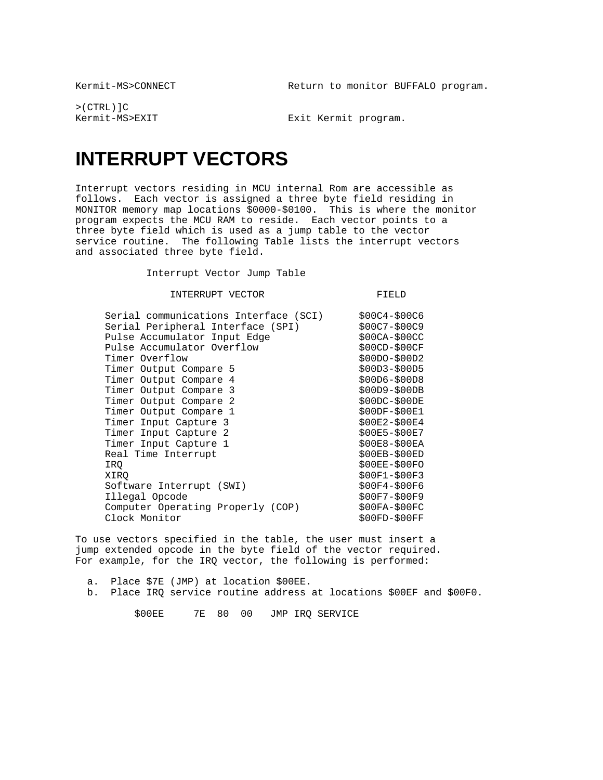Kermit-MS>CONNECT Return to monitor BUFFALO program.

>(CTRL)]C

Kermit-MS>EXIT Exit Kermit program.

# **INTERRUPT VECTORS**

Interrupt vectors residing in MCU internal Rom are accessible as follows. Each vector is assigned a three byte field residing in MONITOR memory map locations \$0000-\$0100. This is where the monitor program expects the MCU RAM to reside. Each vector points to a three byte field which is used as a jump table to the vector service routine. The following Table lists the interrupt vectors and associated three byte field.

Interrupt Vector Jump Table

INTERRUPT VECTOR FIELD

| Serial communications Interface (SCI) | $$00C4 - $00C6$ |
|---------------------------------------|-----------------|
| Serial Peripheral Interface (SPI)     | \$00C7-\$00C9   |
| Pulse Accumulator Input Edge          | $$00CA-$00CC$   |
| Pulse Accumulator Overflow            | \$00CD-\$00CF   |
| Timer Overflow                        | \$00DO-\$00D2   |
| Timer Output Compare 5                | \$00D3-\$00D5   |
| Timer Output Compare 4                | $$00D6 - $00D8$ |
| Timer Output Compare 3                | \$00D9-\$00DB   |
| Timer Output Compare 2                | $$00DC - $00DE$ |
| Timer Output Compare 1                | \$00DF-\$00E1   |
| Timer Input Capture 3                 | \$00E2-\$00E4   |
| Timer Input Capture 2                 | \$00E5-\$00E7   |
| Timer Input Capture 1                 | $$00E8 - $00EA$ |
| Real Time Interrupt                   | $$00EB-$00ED$   |
| IRO                                   | $$00EE-$00FO$   |
| XIRO                                  | \$00F1-\$00F3   |
| Software Interrupt (SWI)              | \$00F4-\$00F6   |
| Illegal Opcode                        | \$00F7-\$00F9   |
| Computer Operating Properly (COP)     | $$00FA-$00FC$   |
| Clock Monitor                         | \$00FD-\$00FF   |

To use vectors specified in the table, the user must insert a jump extended opcode in the byte field of the vector required. For example, for the IRQ vector, the following is performed:

 a. Place \$7E (JMP) at location \$00EE. b. Place IRQ service routine address at locations \$00EF and \$00F0.

\$00EE 7E 80 00 JMP IRQ SERVICE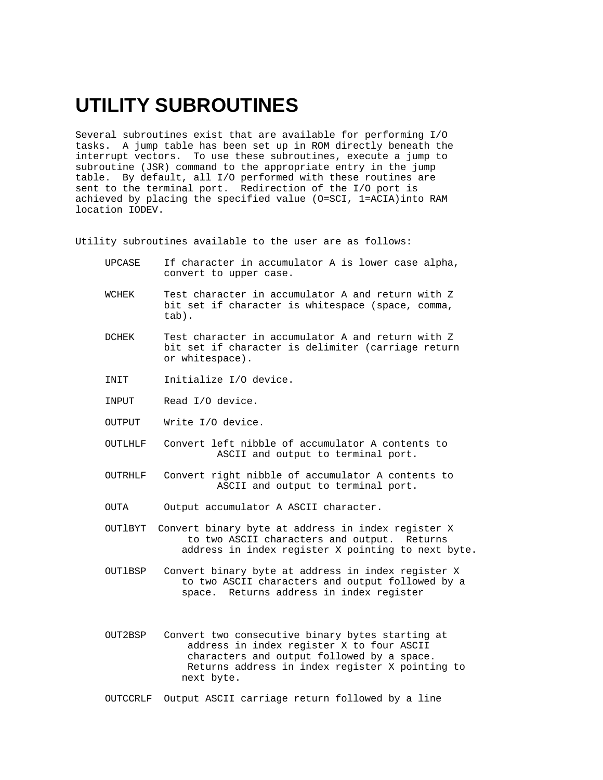# **UTILITY SUBROUTINES**

Several subroutines exist that are available for performing I/O tasks. A jump table has been set up in ROM directly beneath the interrupt vectors. To use these subroutines, execute a jump to subroutine (JSR) command to the appropriate entry in the jump table. By default, all I/O performed with these routines are sent to the terminal port. Redirection of the I/O port is achieved by placing the specified value (O=SCI, 1=ACIA)into RAM location IODEV.

Utility subroutines available to the user are as follows:

- UPCASE If character in accumulator A is lower case alpha, convert to upper case.
- WCHEK Test character in accumulator A and return with Z bit set if character is whitespace (space, comma, tab).
- DCHEK Test character in accumulator A and return with Z bit set if character is delimiter (carriage return or whitespace).
- INIT Initialize I/O device.
- INPUT Read I/O device.
- OUTPUT Write I/O device.
- OUTLHLF Convert left nibble of accumulator A contents to ASCII and output to terminal port.
- OUTRHLF Convert right nibble of accumulator A contents to ASCII and output to terminal port.
- OUTA Output accumulator A ASCII character.
- OUTlBYT Convert binary byte at address in index register X to two ASCII characters and output. Returns address in index register X pointing to next byte.
- OUTlBSP Convert binary byte at address in index register X to two ASCII characters and output followed by a space. Returns address in index register
- OUT2BSP Convert two consecutive binary bytes starting at address in index register X to four ASCII characters and output followed by a space. Returns address in index register X pointing to next byte.

OUTCCRLF Output ASCII carriage return followed by a line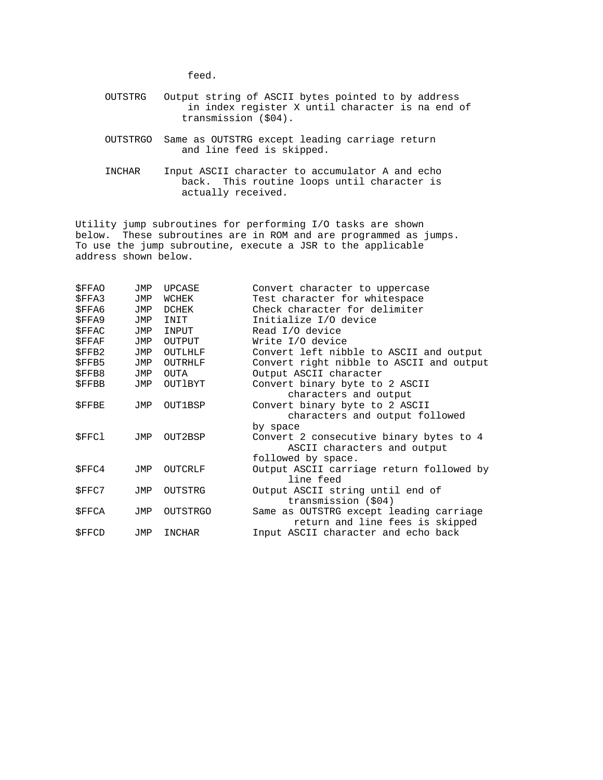feed.

- OUTSTRG Output string of ASCII bytes pointed to by address in index register X until character is na end of transmission (\$04).
- OUTSTRGO Same as OUTSTRG except leading carriage return and line feed is skipped.
- INCHAR Input ASCII character to accumulator A and echo back. This routine loops until character is actually received.

Utility jump subroutines for performing I/O tasks are shown below. These subroutines are in ROM and are programmed as jumps. To use the jump subroutine, execute a JSR to the applicable address shown below.

| \$FFAO       | JMP | <b>UPCASE</b>   | Convert character to uppercase           |
|--------------|-----|-----------------|------------------------------------------|
| <b>SFFA3</b> | JMP | WCHEK           | Test character for whitespace            |
| <b>SFFA6</b> | JMP | DCHEK           | Check character for delimiter            |
| <b>SFFA9</b> | JMP | INIT            | Initialize I/O device                    |
| <b>SFFAC</b> | JMP | INPUT           | Read I/O device                          |
| <b>SFFAF</b> | JMP | <b>OUTPUT</b>   | Write I/O device                         |
| <b>SFFB2</b> | JMP | OUTLHLF         | Convert left nibble to ASCII and output  |
| \$FFB5       | JMP | OUTRHLF         | Convert right nibble to ASCII and output |
| \$FFB8       | JMP | OUTA            | Output ASCII character                   |
| <b>SFFBB</b> | JMP | OUTIBYT         | Convert binary byte to 2 ASCII           |
|              |     |                 | characters and output                    |
| <b>SFFBE</b> | JMP | OUT1BSP         | Convert binary byte to 2 ASCII           |
|              |     |                 | characters and output followed           |
|              |     |                 | by space                                 |
| <b>SFFC1</b> | JMP | OUT2BSP         | Convert 2 consecutive binary bytes to 4  |
|              |     |                 | ASCII characters and output              |
|              |     |                 | followed by space.                       |
| \$FFC4       | JMP | OUTCRLF         | Output ASCII carriage return followed by |
|              |     |                 | line feed                                |
| \$FFC7       | JMP | OUTSTRG         | Output ASCII string until end of         |
|              |     |                 | transmission (\$04)                      |
| \$FFCA       | JMP | <b>OUTSTRGO</b> | Same as OUTSTRG except leading carriage  |
|              |     |                 | return and line fees is skipped          |
| <b>SFFCD</b> | JMP | INCHAR          | Input ASCII character and echo back      |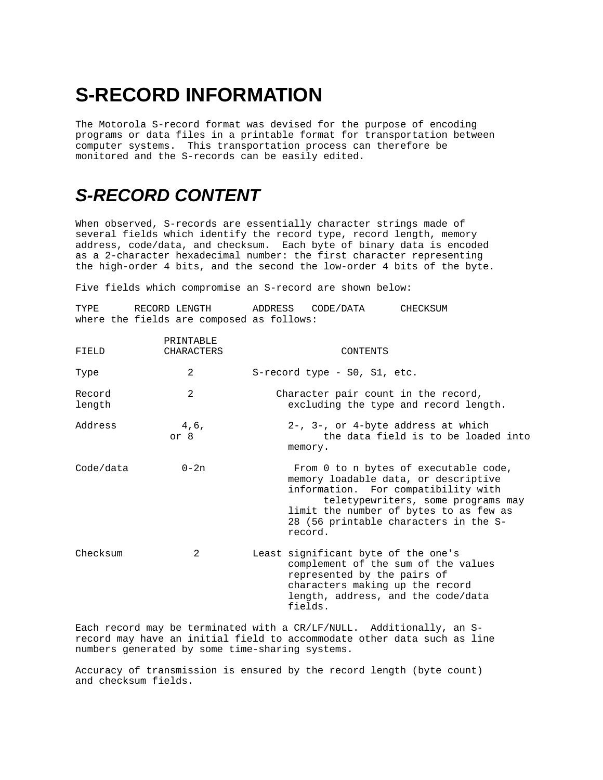# **S-RECORD INFORMATION**

The Motorola S-record format was devised for the purpose of encoding programs or data files in a printable format for transportation between computer systems. This transportation process can therefore be monitored and the S-records can be easily edited.

# *S-RECORD CONTENT*

When observed, S-records are essentially character strings made of several fields which identify the record type, record length, memory address, code/data, and checksum. Each byte of binary data is encoded as a 2-character hexadecimal number: the first character representing the high-order 4 bits, and the second the low-order 4 bits of the byte.

Five fields which compromise an S-record are shown below:

| TYPE             | RECORD LENGTH<br>where the fields are composed as follows: | ADDRESS CODE/DATA |                                                                    | CHECKSUM                                                                                                                                                                                                                                      |
|------------------|------------------------------------------------------------|-------------------|--------------------------------------------------------------------|-----------------------------------------------------------------------------------------------------------------------------------------------------------------------------------------------------------------------------------------------|
| FIELD            | PRINTABLE<br><b>CHARACTERS</b>                             |                   | CONTENTS                                                           |                                                                                                                                                                                                                                               |
| Type             | 2                                                          |                   | S-record type - S0, S1, etc.                                       |                                                                                                                                                                                                                                               |
| Record<br>length | 2                                                          |                   |                                                                    | Character pair count in the record,<br>excluding the type and record length.                                                                                                                                                                  |
| Address          | 4,6,<br>or 8                                               | memory.           |                                                                    | 2-, 3-, or 4-byte address at which<br>the data field is to be loaded into                                                                                                                                                                     |
| Code/data        | $0 - 2n$                                                   | record.           |                                                                    | From 0 to n bytes of executable code,<br>memory loadable data, or descriptive<br>information. For compatibility with<br>teletypewriters, some programs may<br>limit the number of bytes to as few as<br>28 (56 printable characters in the S- |
| Checksum         | 2                                                          | fields.           | Least significant byte of the one's<br>represented by the pairs of | complement of the sum of the values<br>characters making up the record<br>length, address, and the code/data                                                                                                                                  |

Each record may be terminated with a CR/LF/NULL. Additionally, an Srecord may have an initial field to accommodate other data such as line numbers generated by some time-sharing systems.

Accuracy of transmission is ensured by the record length (byte count) and checksum fields.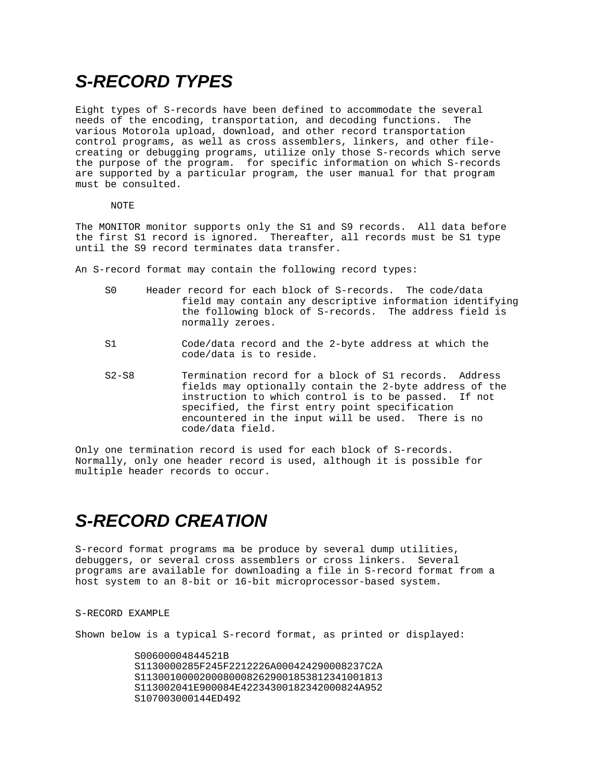# *S-RECORD TYPES*

Eight types of S-records have been defined to accommodate the several needs of the encoding, transportation, and decoding functions. The various Motorola upload, download, and other record transportation control programs, as well as cross assemblers, linkers, and other filecreating or debugging programs, utilize only those S-records which serve the purpose of the program. for specific information on which S-records are supported by a particular program, the user manual for that program must be consulted.

#### NOTE

The MONITOR monitor supports only the S1 and S9 records. All data before the first S1 record is ignored. Thereafter, all records must be S1 type until the S9 record terminates data transfer.

An S-record format may contain the following record types:

- S0 Header record for each block of S-records. The code/data field may contain any descriptive information identifying the following block of S-records. The address field is normally zeroes.
- S1 Code/data record and the 2-byte address at which the code/data is to reside.
- S2-S8 Termination record for a block of S1 records. Address fields may optionally contain the 2-byte address of the instruction to which control is to be passed. If not specified, the first entry point specification encountered in the input will be used. There is no code/data field.

Only one termination record is used for each block of S-records. Normally, only one header record is used, although it is possible for multiple header records to occur.

# *S-RECORD CREATION*

S-record format programs ma be produce by several dump utilities, debuggers, or several cross assemblers or cross linkers. Several programs are available for downloading a file in S-record format from a host system to an 8-bit or 16-bit microprocessor-based system.

#### S-RECORD EXAMPLE

Shown below is a typical S-record format, as printed or displayed:

 S00600004844521B S1130000285F245F2212226A000424290008237C2A S11300100002000800082629001853812341001813 S113002041E900084E42234300182342000824A952 S107003000144ED492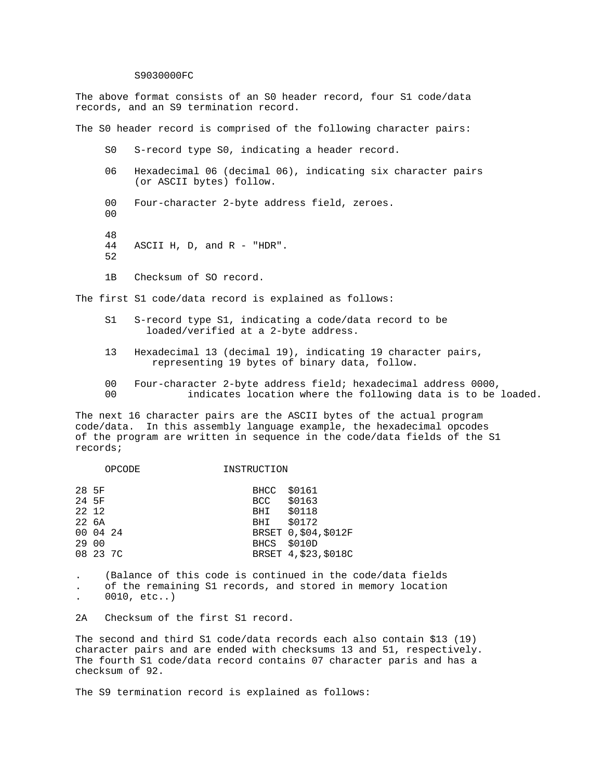#### S9030000FC

The above format consists of an S0 header record, four S1 code/data records, and an S9 termination record.

The S0 header record is comprised of the following character pairs:

- S0 S-record type S0, indicating a header record.
- 06 Hexadecimal 06 (decimal 06), indicating six character pairs (or ASCII bytes) follow.
- 00 Four-character 2-byte address field, zeroes.
- 48

 $0<sub>0</sub>$ 

- 44 ASCII H, D, and R "HDR". 52
- 1B Checksum of SO record.

The first S1 code/data record is explained as follows:

- S1 S-record type S1, indicating a code/data record to be loaded/verified at a 2-byte address.
- 13 Hexadecimal 13 (decimal 19), indicating 19 character pairs, representing 19 bytes of binary data, follow.
- 00 Four-character 2-byte address field; hexadecimal address 0000,
- 00 indicates location where the following data is to be loaded.

The next 16 character pairs are the ASCII bytes of the actual program code/data. In this assembly language example, the hexadecimal opcodes of the program are written in sequence in the code/data fields of the S1 records;

|                                           | OPCODE   | INSTRUCTION                       |                                                                         |
|-------------------------------------------|----------|-----------------------------------|-------------------------------------------------------------------------|
| 28 5F<br>24 5F<br>22 12<br>22 6A<br>29 00 | 00 04 24 | BHCC<br>BCC<br>BHI<br>BHI<br>BHCS | \$0161<br>\$0163<br>\$0118<br>\$0172<br>BRSET 0, \$04, \$012F<br>\$010D |
|                                           | 08 23 7C |                                   | BRSET 4, \$23, \$018C                                                   |

. (Balance of this code is continued in the code/data fields . of the remaining S1 records, and stored in memory location . 0010, etc..)

2A Checksum of the first S1 record.

The second and third S1 code/data records each also contain \$13 (19) character pairs and are ended with checksums 13 and 51, respectively. The fourth S1 code/data record contains 07 character paris and has a checksum of 92.

The S9 termination record is explained as follows: